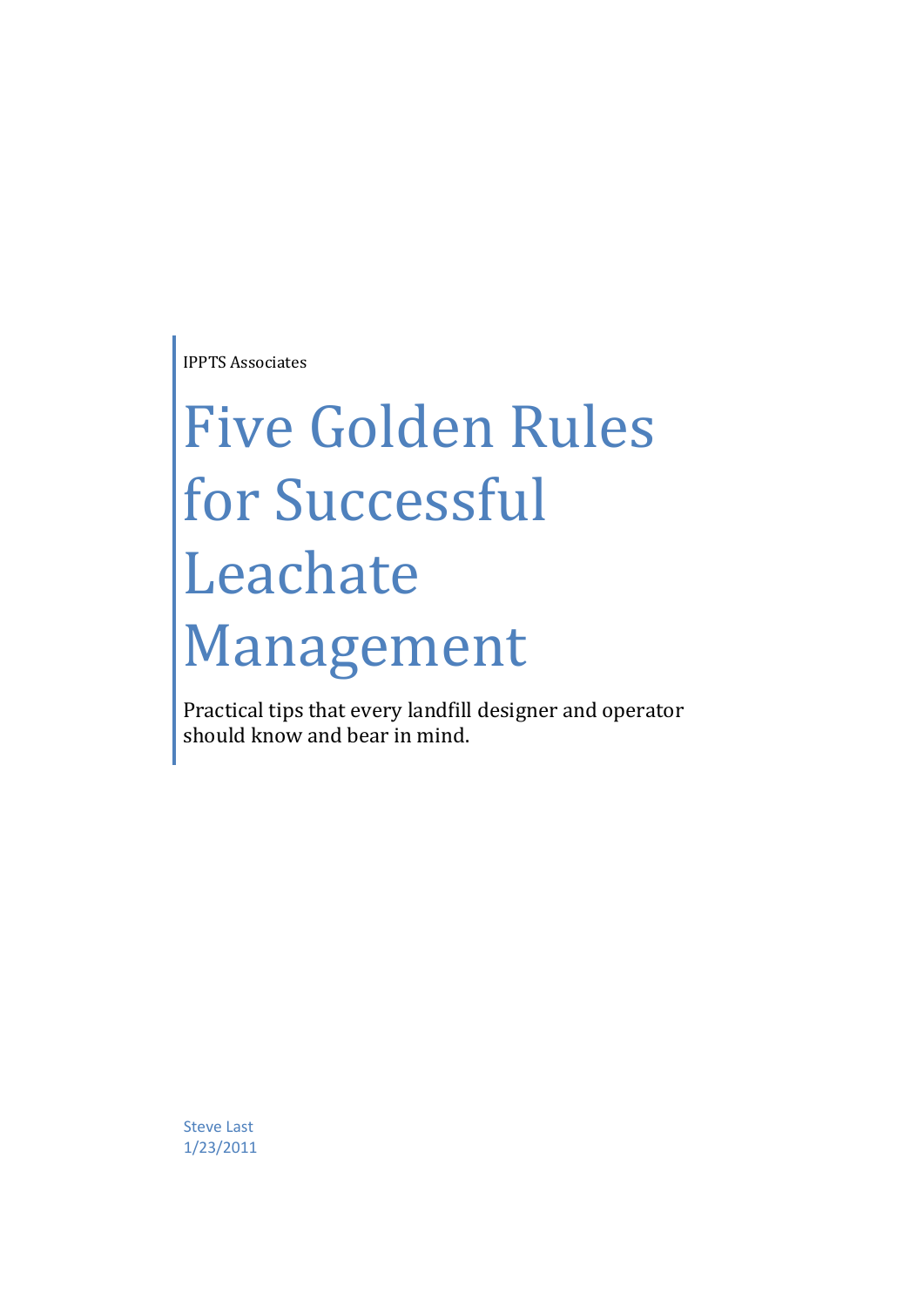IPPTS Associates

# Five Golden Rules for Successful Leachate Management

Practical tips that every landfill designer and operator should know and bear in mind.

Steve Last 1/23/2011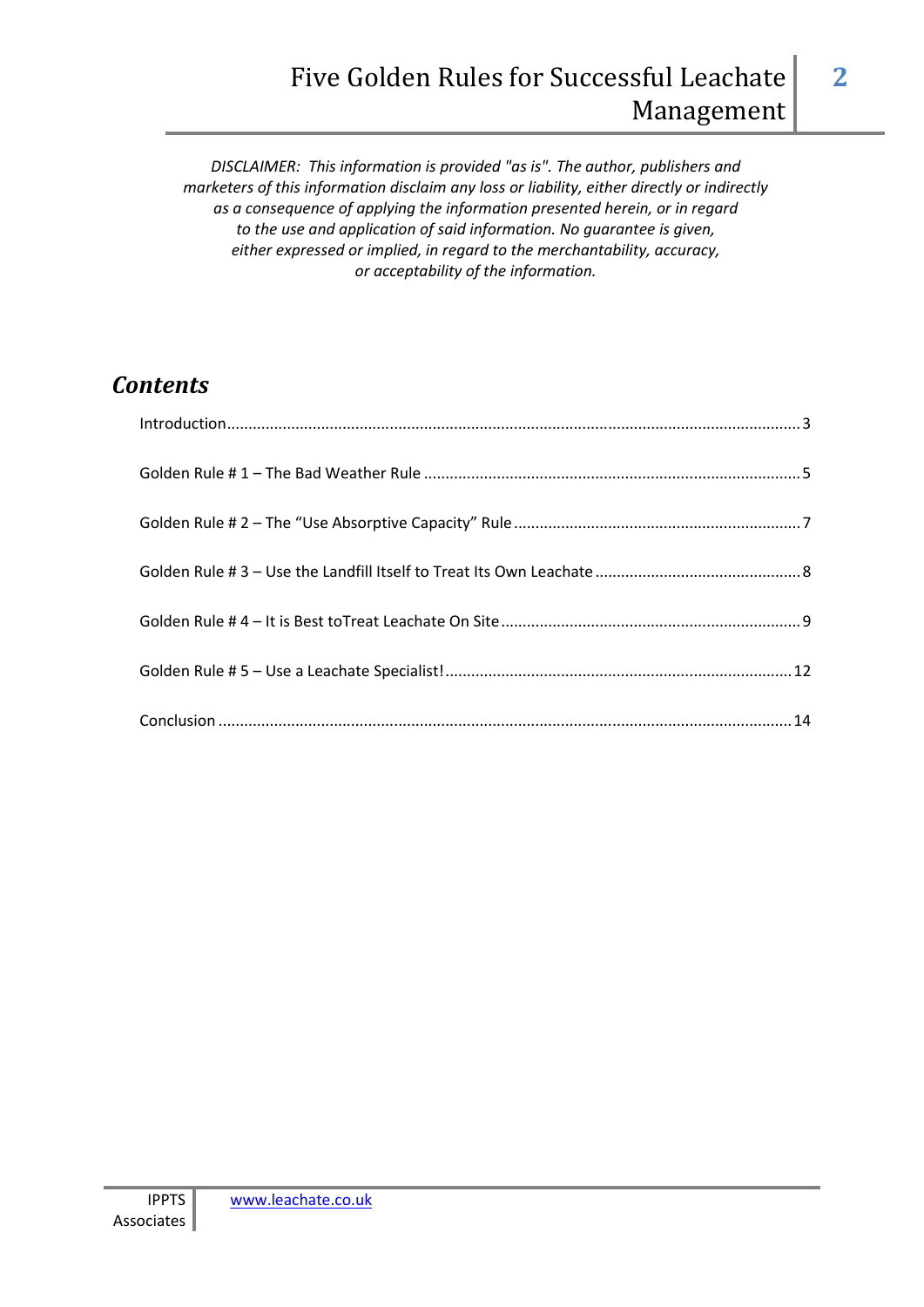*DISCLAIMER: This information is provided "as is". The author, publishers and marketers of this information disclaim any loss or liability, either directly or indirectly as a consequence of applying the information presented herein, or in regard to the use and application of said information. No guarantee is given, either expressed or implied, in regard to the merchantability, accuracy, or acceptability of the information.* 

# *Contents*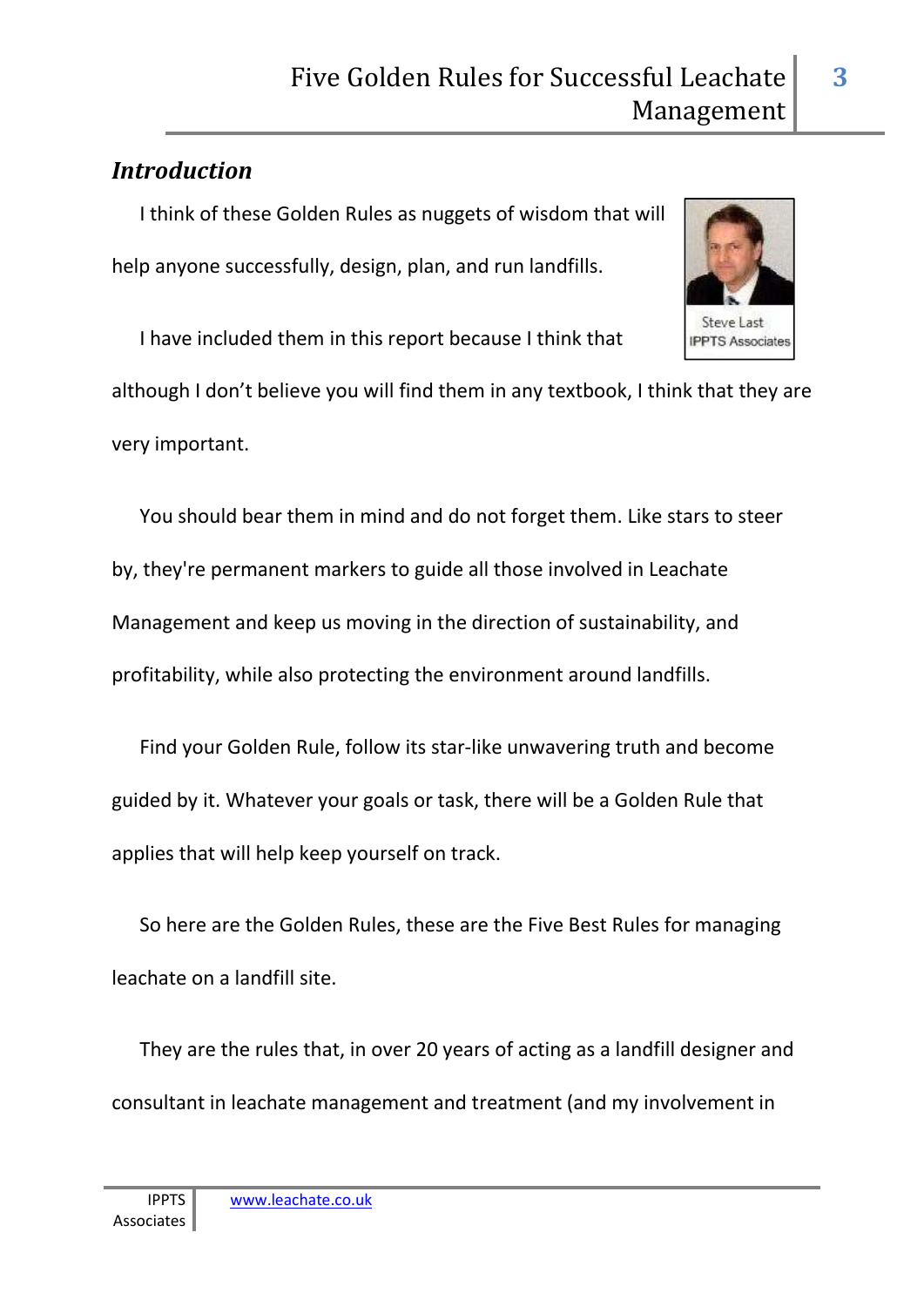## *Introduction*

I think of these Golden Rules as nuggets of wisdom that will help anyone successfully, design, plan, and run landfills.

I have included them in this report because I think that

although I don't believe you will find them in any textbook, I think that they are very important.

You should bear them in mind and do not forget them. Like stars to steer by, they're permanent markers to guide all those involved in Leachate Management and keep us moving in the direction of sustainability, and profitability, while also protecting the environment around landfills.

Find your Golden Rule, follow its star-like unwavering truth and become guided by it. Whatever your goals or task, there will be a Golden Rule that applies that will help keep yourself on track.

So here are the Golden Rules, these are the Five Best Rules for managing leachate on a landfill site.

They are the rules that, in over 20 years of acting as a landfill designer and consultant in leachate management and treatment (and my involvement in



**3**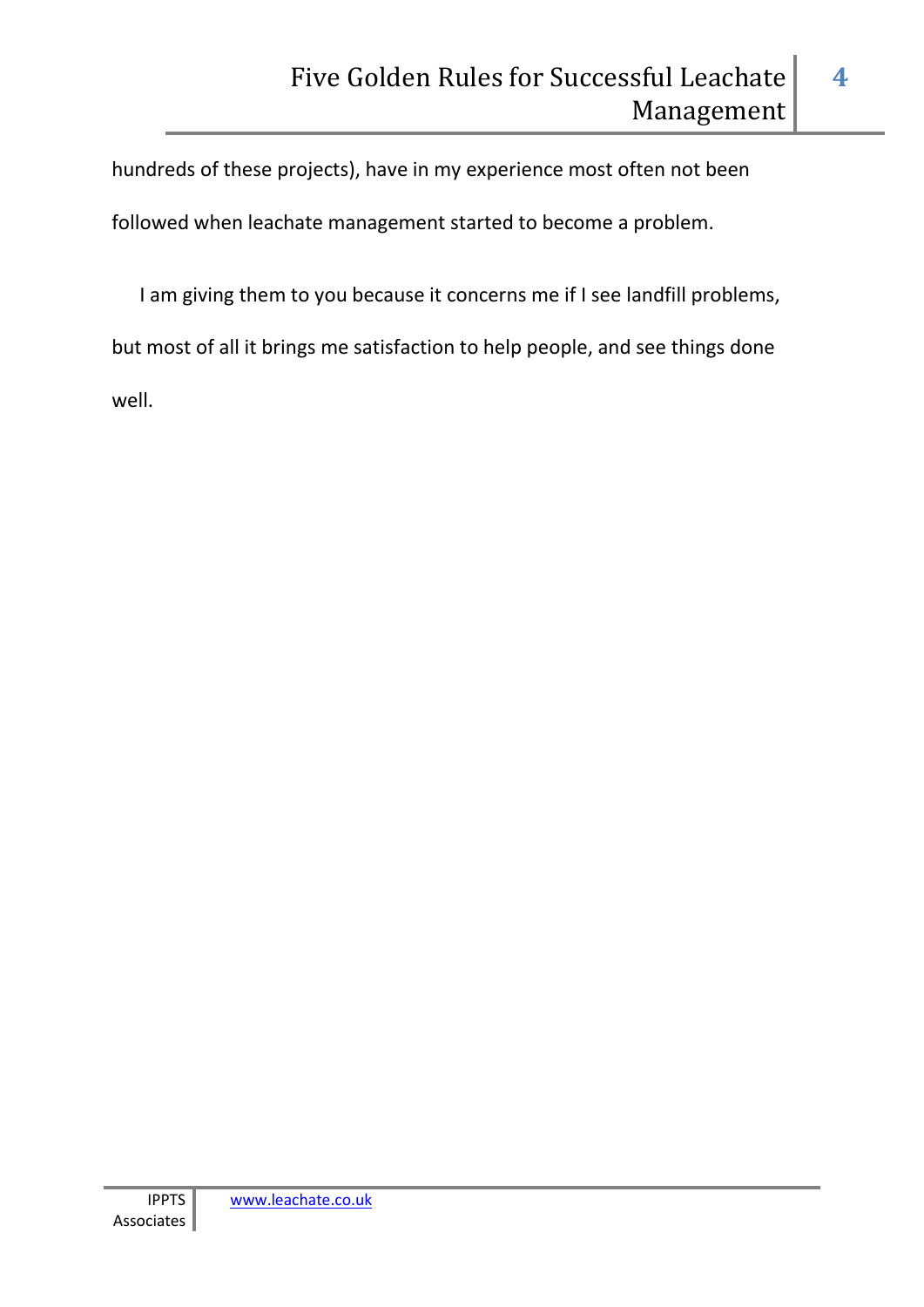hundreds of these projects), have in my experience most often not been followed when leachate management started to become a problem.

I am giving them to you because it concerns me if I see landfill problems, but most of all it brings me satisfaction to help people, and see things done well.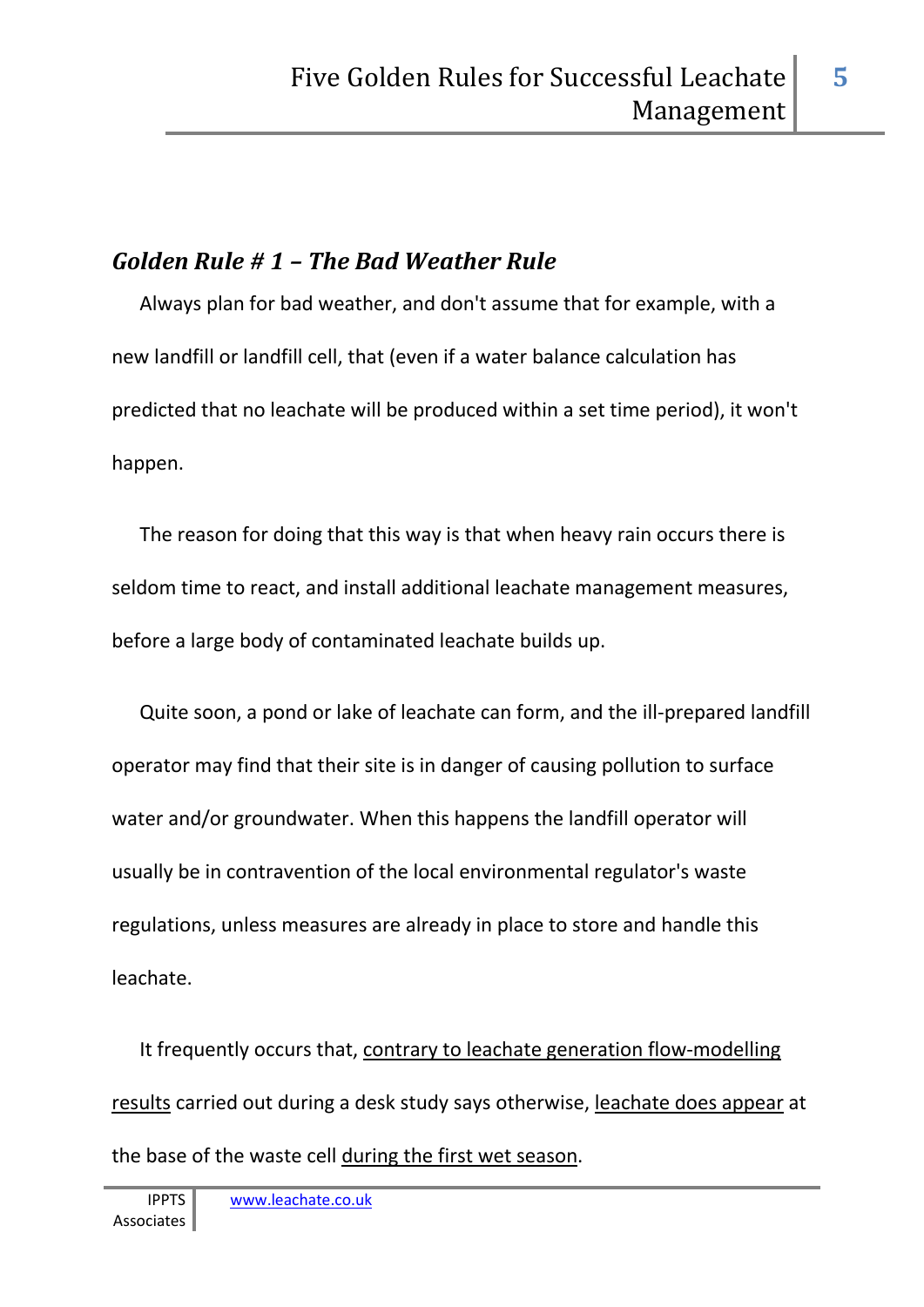# *Golden Rule # 1 – The Bad Weather Rule*

Always plan for bad weather, and don't assume that for example, with a new landfill or landfill cell, that (even if a water balance calculation has predicted that no leachate will be produced within a set time period), it won't happen.

The reason for doing that this way is that when heavy rain occurs there is seldom time to react, and install additional leachate management measures, before a large body of contaminated leachate builds up.

Quite soon, a pond or lake of leachate can form, and the ill-prepared landfill operator may find that their site is in danger of causing pollution to surface water and/or groundwater. When this happens the landfill operator will usually be in contravention of the local environmental regulator's waste regulations, unless measures are already in place to store and handle this leachate.

It frequently occurs that, contrary to leachate generation flow-modelling results carried out during a desk study says otherwise, leachate does appear at the base of the waste cell during the first wet season.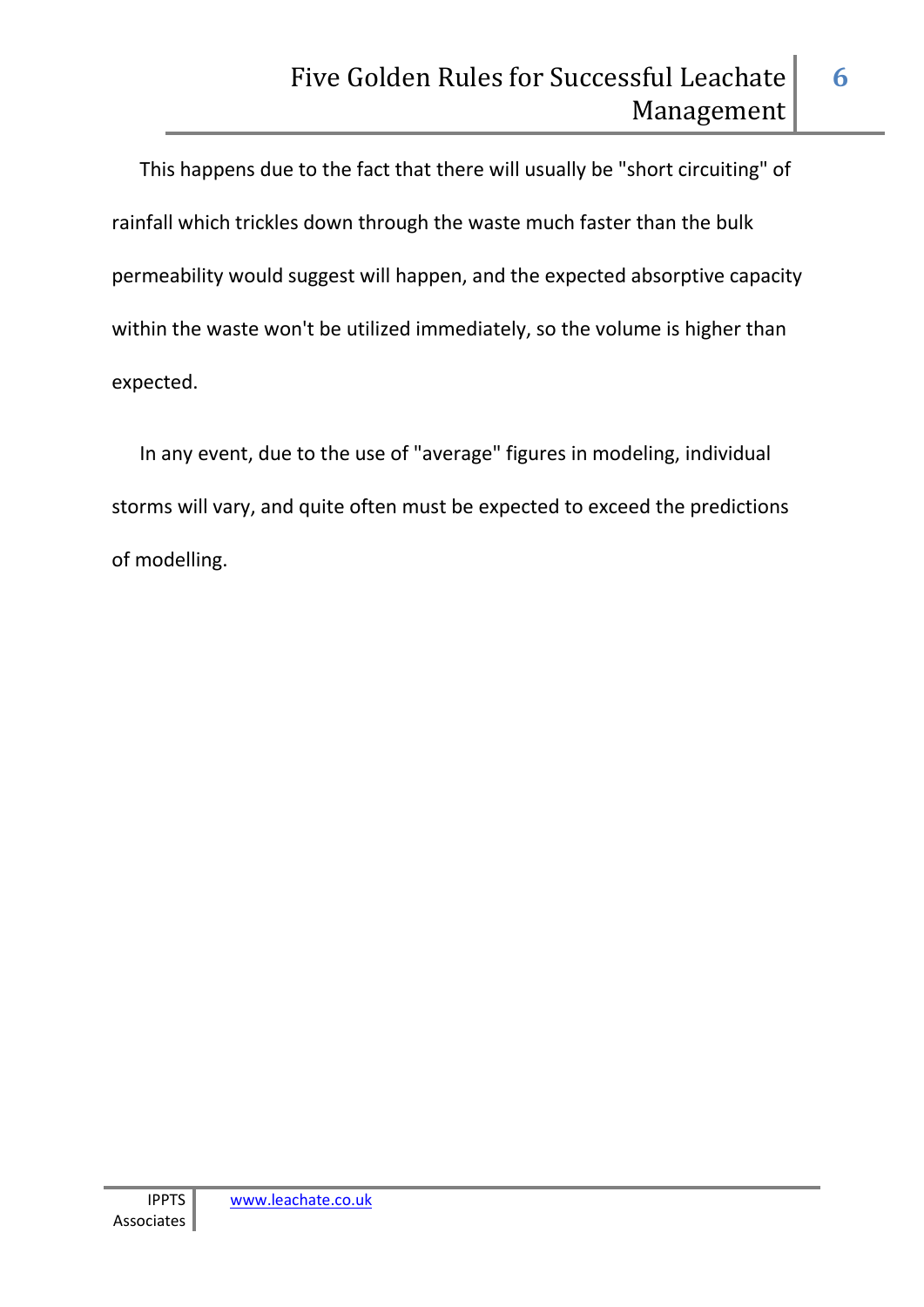This happens due to the fact that there will usually be "short circuiting" of rainfall which trickles down through the waste much faster than the bulk permeability would suggest will happen, and the expected absorptive capacity within the waste won't be utilized immediately, so the volume is higher than expected.

In any event, due to the use of "average" figures in modeling, individual storms will vary, and quite often must be expected to exceed the predictions of modelling.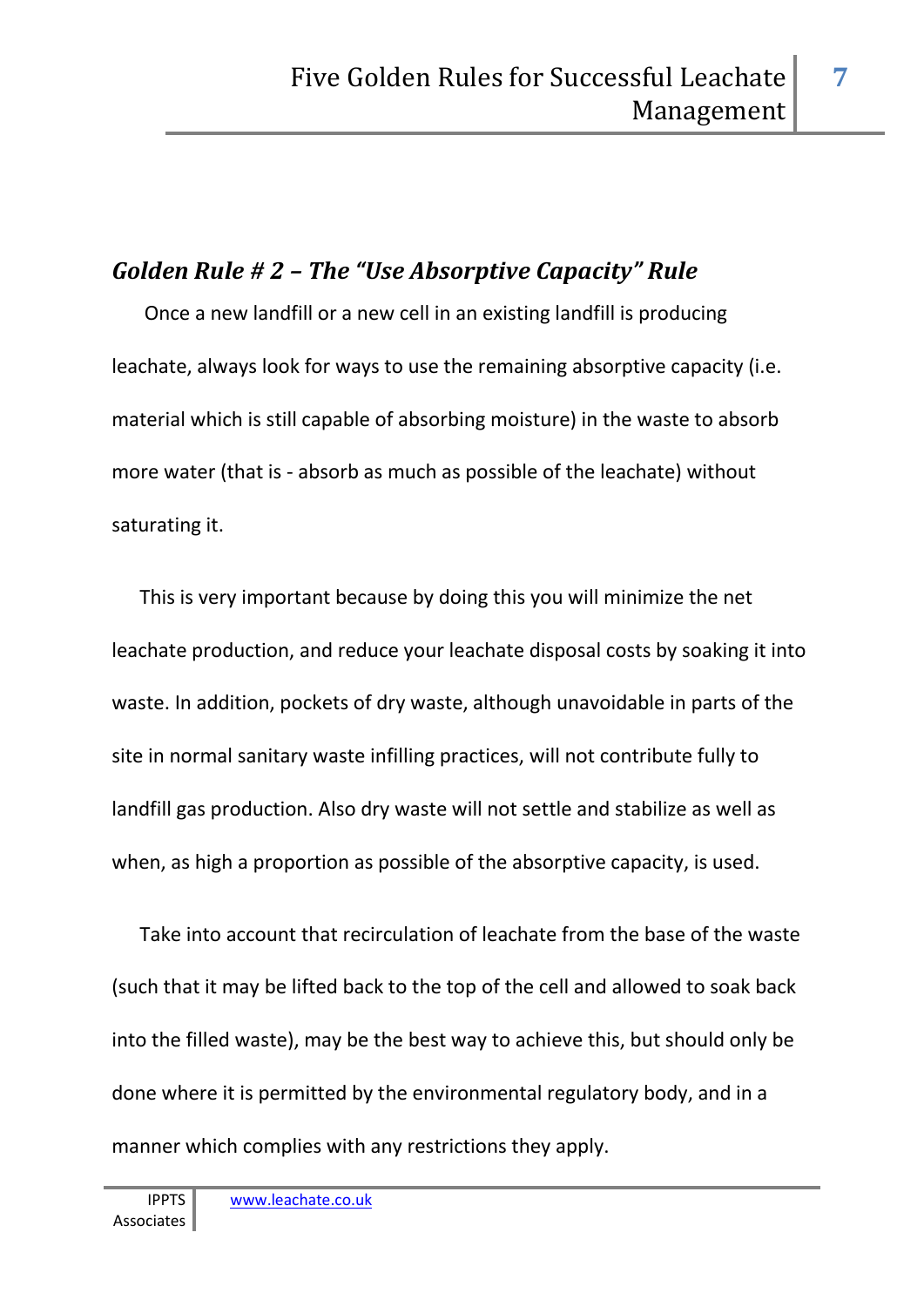#### *Golden Rule # 2 – The "Use Absorptive Capacity" Rule*

 Once a new landfill or a new cell in an existing landfill is producing leachate, always look for ways to use the remaining absorptive capacity (i.e. material which is still capable of absorbing moisture) in the waste to absorb more water (that is - absorb as much as possible of the leachate) without saturating it.

This is very important because by doing this you will minimize the net leachate production, and reduce your leachate disposal costs by soaking it into waste. In addition, pockets of dry waste, although unavoidable in parts of the site in normal sanitary waste infilling practices, will not contribute fully to landfill gas production. Also dry waste will not settle and stabilize as well as when, as high a proportion as possible of the absorptive capacity, is used.

Take into account that recirculation of leachate from the base of the waste (such that it may be lifted back to the top of the cell and allowed to soak back into the filled waste), may be the best way to achieve this, but should only be done where it is permitted by the environmental regulatory body, and in a manner which complies with any restrictions they apply.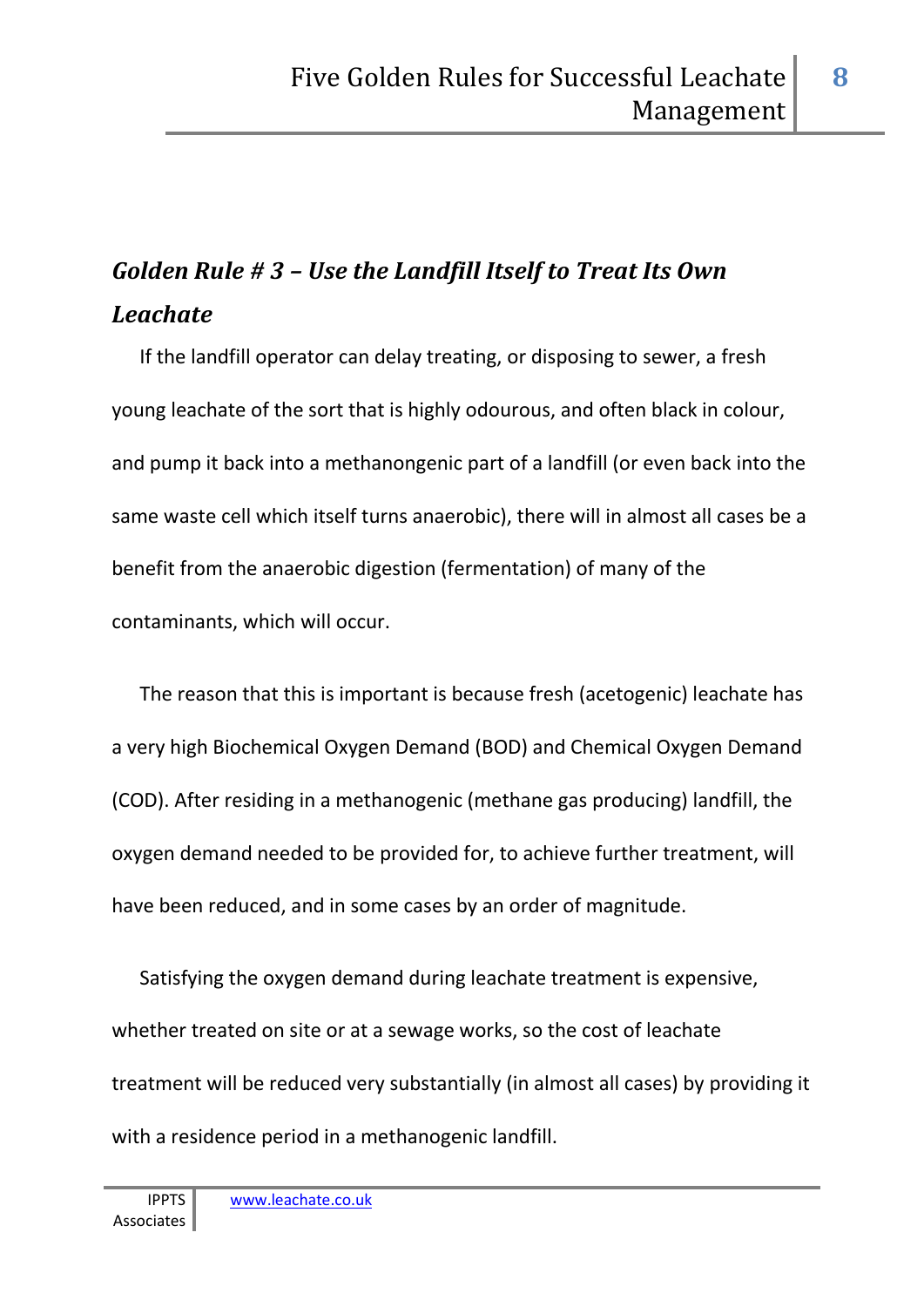# *Golden Rule # 3 – Use the Landfill Itself to Treat Its Own Leachate*

If the landfill operator can delay treating, or disposing to sewer, a fresh young leachate of the sort that is highly odourous, and often black in colour, and pump it back into a methanongenic part of a landfill (or even back into the same waste cell which itself turns anaerobic), there will in almost all cases be a benefit from the anaerobic digestion (fermentation) of many of the contaminants, which will occur.

The reason that this is important is because fresh (acetogenic) leachate has a very high Biochemical Oxygen Demand (BOD) and Chemical Oxygen Demand (COD). After residing in a methanogenic (methane gas producing) landfill, the oxygen demand needed to be provided for, to achieve further treatment, will have been reduced, and in some cases by an order of magnitude.

Satisfying the oxygen demand during leachate treatment is expensive, whether treated on site or at a sewage works, so the cost of leachate treatment will be reduced very substantially (in almost all cases) by providing it with a residence period in a methanogenic landfill.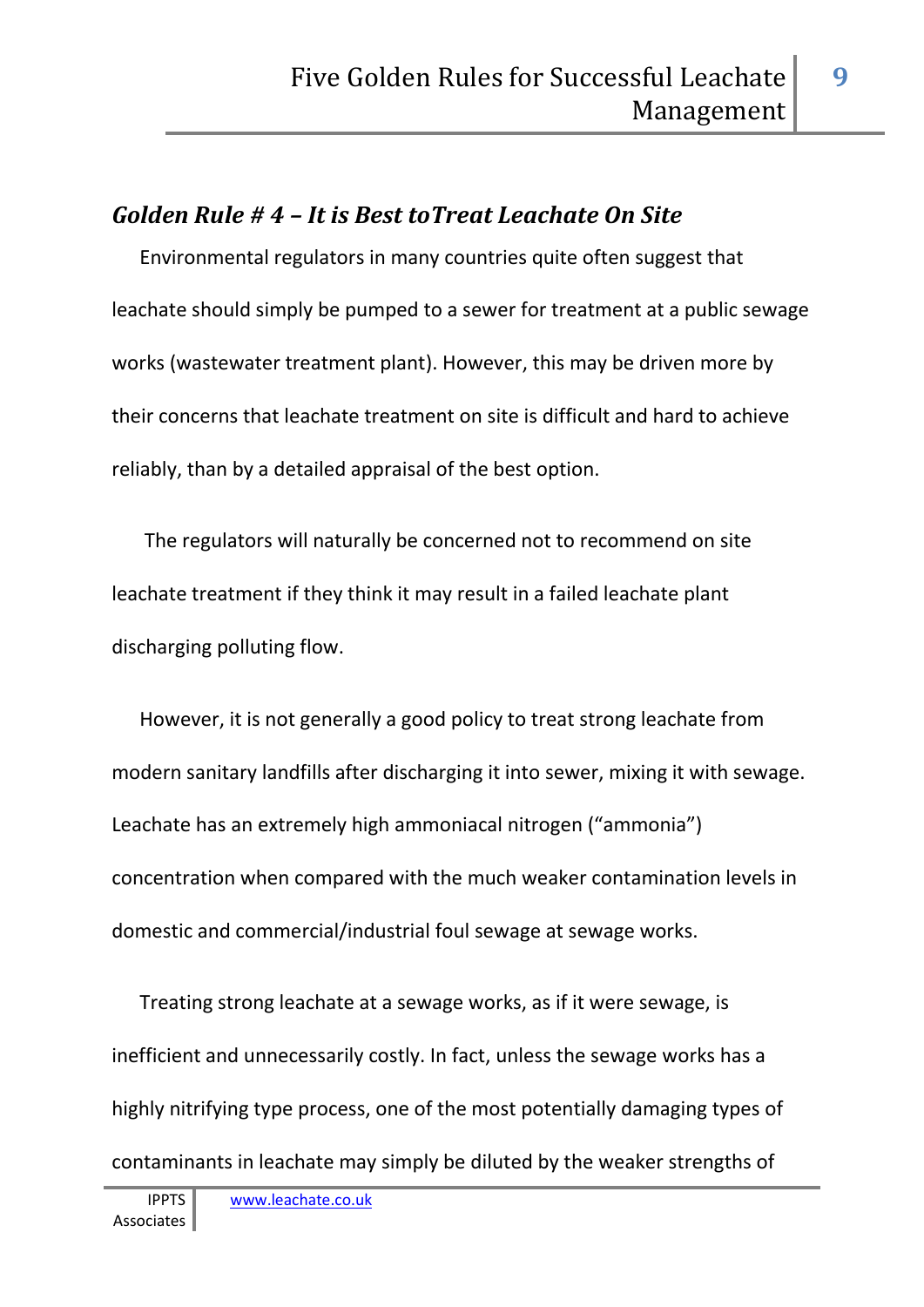#### *Golden Rule # 4 – It is Best toTreat Leachate On Site*

Environmental regulators in many countries quite often suggest that leachate should simply be pumped to a sewer for treatment at a public sewage works (wastewater treatment plant). However, this may be driven more by their concerns that leachate treatment on site is difficult and hard to achieve reliably, than by a detailed appraisal of the best option.

 The regulators will naturally be concerned not to recommend on site leachate treatment if they think it may result in a failed leachate plant discharging polluting flow.

However, it is not generally a good policy to treat strong leachate from modern sanitary landfills after discharging it into sewer, mixing it with sewage. Leachate has an extremely high ammoniacal nitrogen ("ammonia") concentration when compared with the much weaker contamination levels in domestic and commercial/industrial foul sewage at sewage works.

Treating strong leachate at a sewage works, as if it were sewage, is inefficient and unnecessarily costly. In fact, unless the sewage works has a highly nitrifying type process, one of the most potentially damaging types of contaminants in leachate may simply be diluted by the weaker strengths of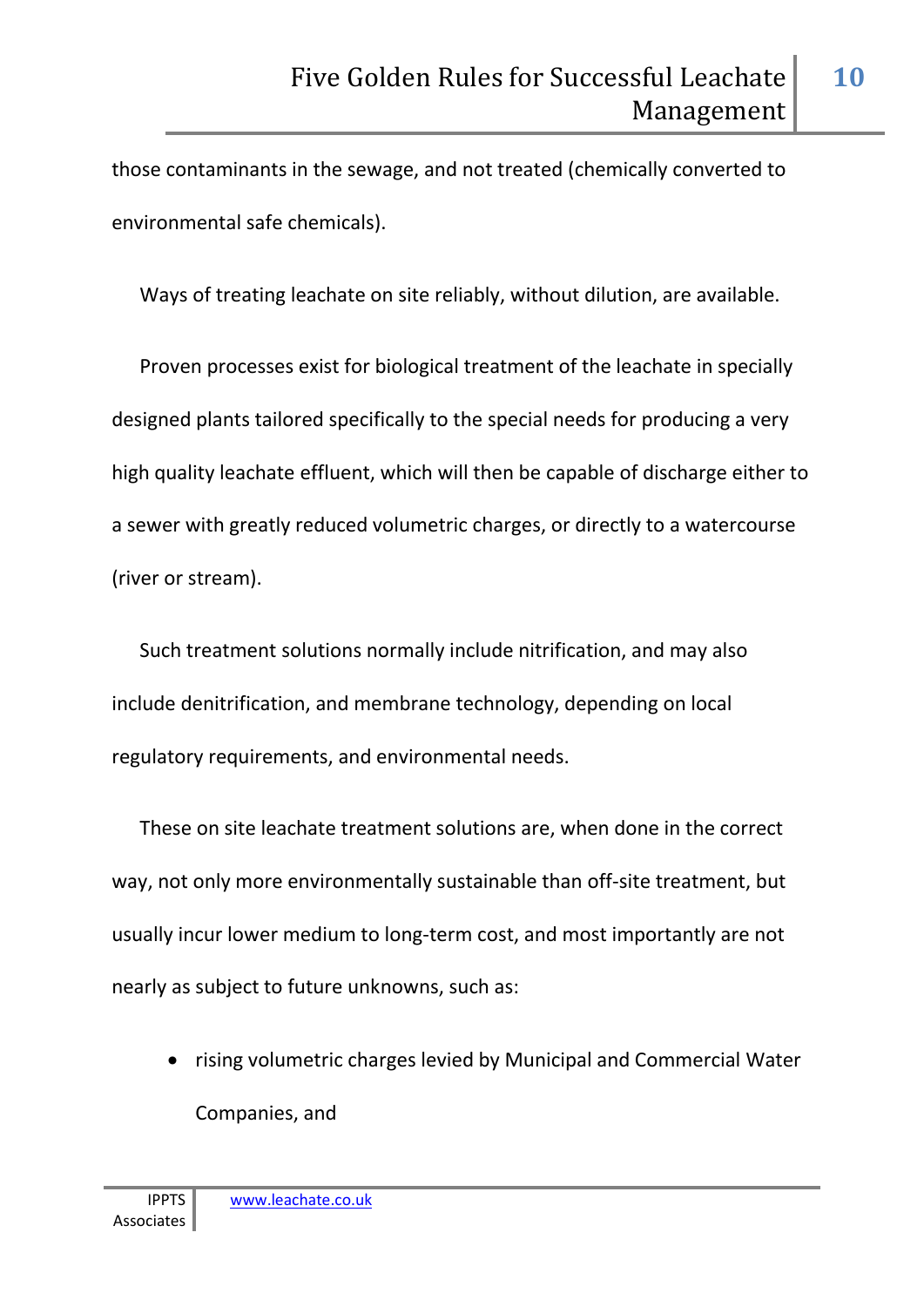**10**

those contaminants in the sewage, and not treated (chemically converted to environmental safe chemicals).

Ways of treating leachate on site reliably, without dilution, are available.

Proven processes exist for biological treatment of the leachate in specially designed plants tailored specifically to the special needs for producing a very high quality leachate effluent, which will then be capable of discharge either to a sewer with greatly reduced volumetric charges, or directly to a watercourse (river or stream).

Such treatment solutions normally include nitrification, and may also include denitrification, and membrane technology, depending on local regulatory requirements, and environmental needs.

These on site leachate treatment solutions are, when done in the correct way, not only more environmentally sustainable than off-site treatment, but usually incur lower medium to long-term cost, and most importantly are not nearly as subject to future unknowns, such as:

• rising volumetric charges levied by Municipal and Commercial Water Companies, and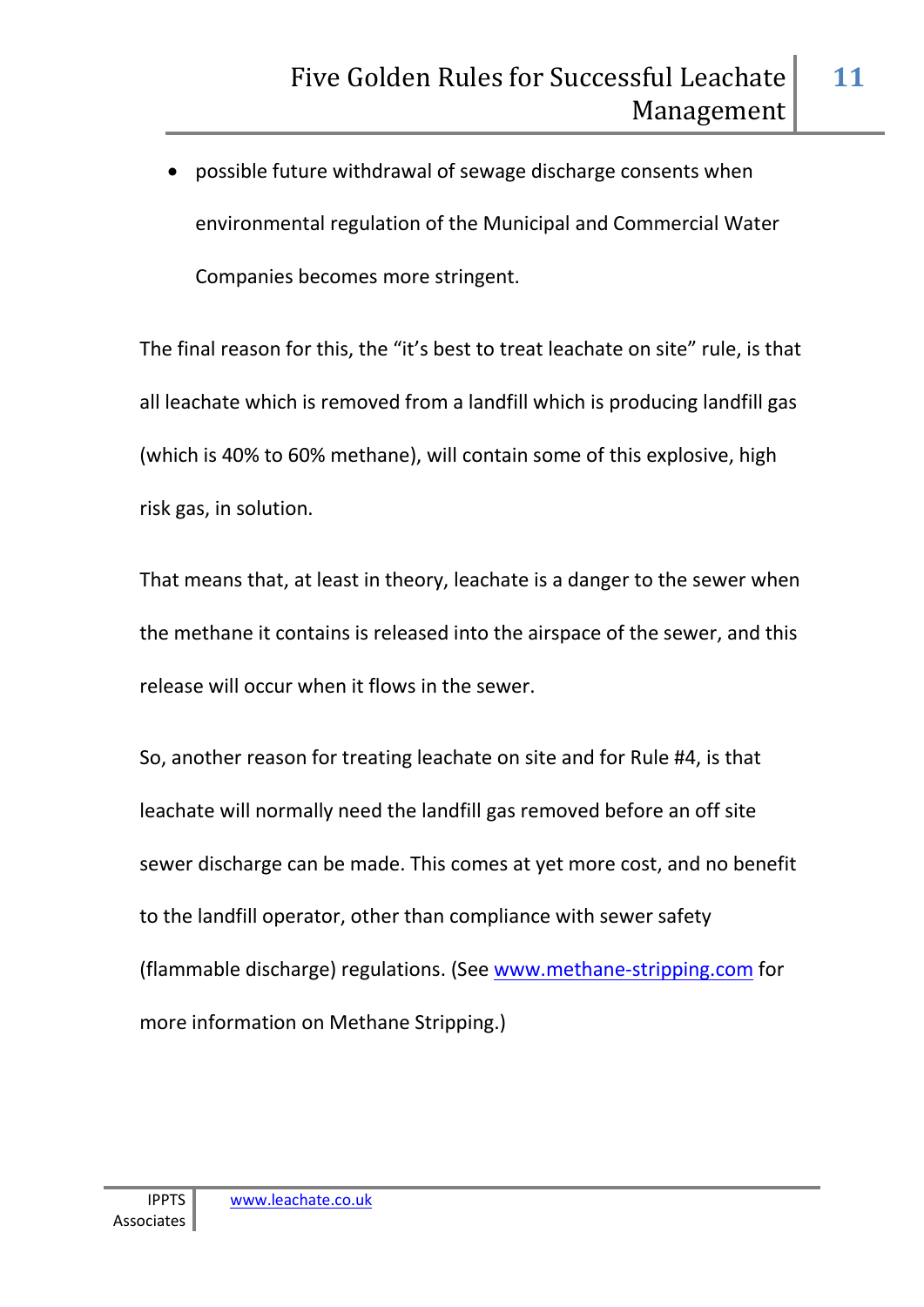• possible future withdrawal of sewage discharge consents when environmental regulation of the Municipal and Commercial Water Companies becomes more stringent.

The final reason for this, the "it's best to treat leachate on site" rule, is that all leachate which is removed from a landfill which is producing landfill gas (which is 40% to 60% methane), will contain some of this explosive, high risk gas, in solution.

That means that, at least in theory, leachate is a danger to the sewer when the methane it contains is released into the airspace of the sewer, and this release will occur when it flows in the sewer.

So, another reason for treating leachate on site and for Rule #4, is that leachate will normally need the landfill gas removed before an off site sewer discharge can be made. This comes at yet more cost, and no benefit to the landfill operator, other than compliance with sewer safety (flammable discharge) regulations. (See www.methane-stripping.com for more information on Methane Stripping.)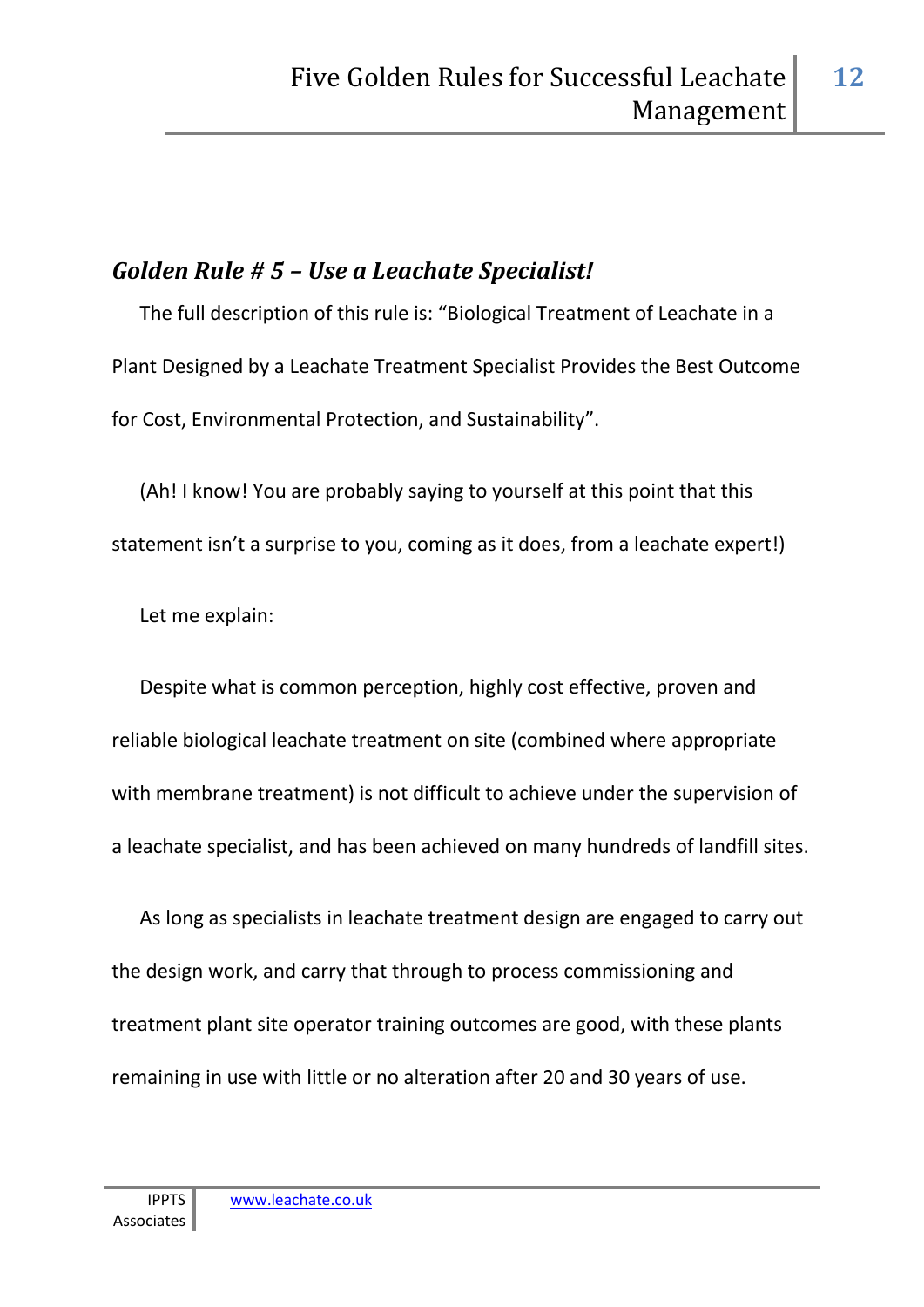#### *Golden Rule # 5 – Use a Leachate Specialist!*

The full description of this rule is: "Biological Treatment of Leachate in a Plant Designed by a Leachate Treatment Specialist Provides the Best Outcome for Cost, Environmental Protection, and Sustainability".

(Ah! I know! You are probably saying to yourself at this point that this statement isn't a surprise to you, coming as it does, from a leachate expert!)

Let me explain:

Despite what is common perception, highly cost effective, proven and reliable biological leachate treatment on site (combined where appropriate with membrane treatment) is not difficult to achieve under the supervision of a leachate specialist, and has been achieved on many hundreds of landfill sites.

As long as specialists in leachate treatment design are engaged to carry out the design work, and carry that through to process commissioning and treatment plant site operator training outcomes are good, with these plants remaining in use with little or no alteration after 20 and 30 years of use.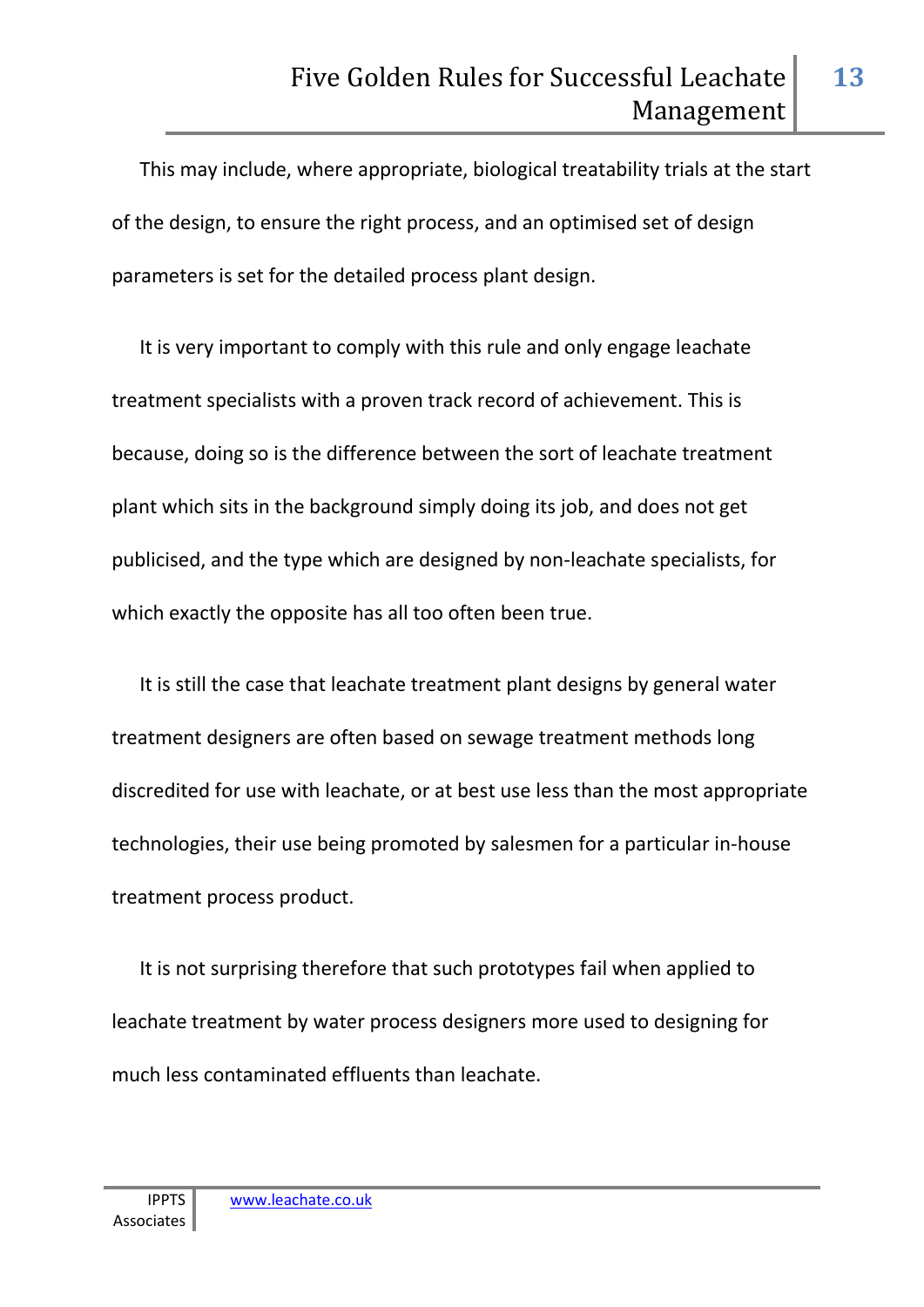This may include, where appropriate, biological treatability trials at the start of the design, to ensure the right process, and an optimised set of design parameters is set for the detailed process plant design.

It is very important to comply with this rule and only engage leachate treatment specialists with a proven track record of achievement. This is because, doing so is the difference between the sort of leachate treatment plant which sits in the background simply doing its job, and does not get publicised, and the type which are designed by non-leachate specialists, for which exactly the opposite has all too often been true.

It is still the case that leachate treatment plant designs by general water treatment designers are often based on sewage treatment methods long discredited for use with leachate, or at best use less than the most appropriate technologies, their use being promoted by salesmen for a particular in-house treatment process product.

It is not surprising therefore that such prototypes fail when applied to leachate treatment by water process designers more used to designing for much less contaminated effluents than leachate.